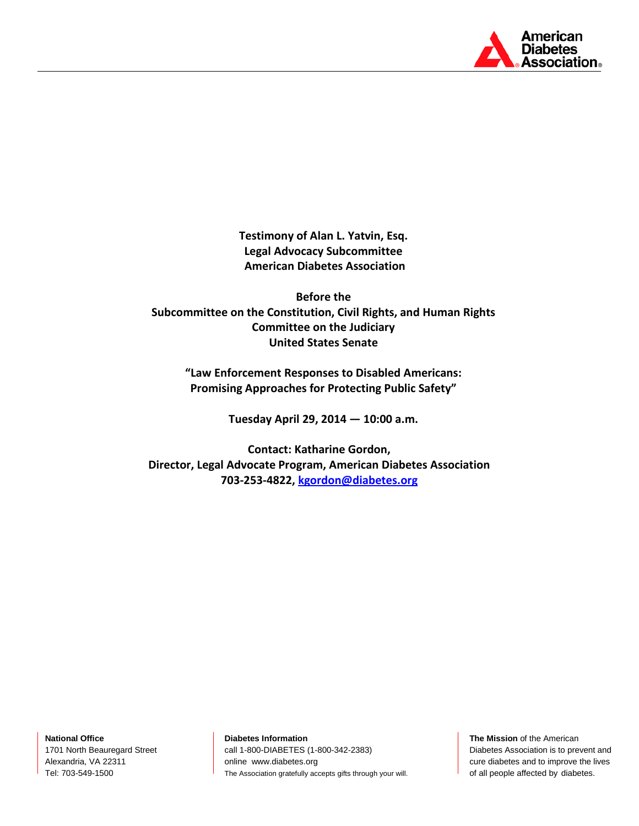

**Testimony of Alan L. Yatvin, Esq. Legal Advocacy Subcommittee American Diabetes Association**

**Before the Subcommittee on the Constitution, Civil Rights, and Human Rights Committee on the Judiciary United States Senate**

**"Law Enforcement Responses to Disabled Americans: Promising Approaches for Protecting Public Safety"**

**Tuesday April 29, 2014 — 10:00 a.m.**

**Contact: Katharine Gordon, Director, Legal Advocate Program, American Diabetes Association 703-253-4822[, kgordon@diabetes.org](mailto:kgordon@diabetes.org)**

**National Office** 1701 North Beauregard Street Alexandria, VA 22311 Tel: 703-549-1500

**Diabetes Information**

call 1-800-DIABETES (1-800-342-2383) online www.diabetes.org The Association gratefully accepts gifts through your will.

**The Mission** of the American Diabetes Association is to prevent and cure diabetes and to improve the lives of all people affected by diabetes.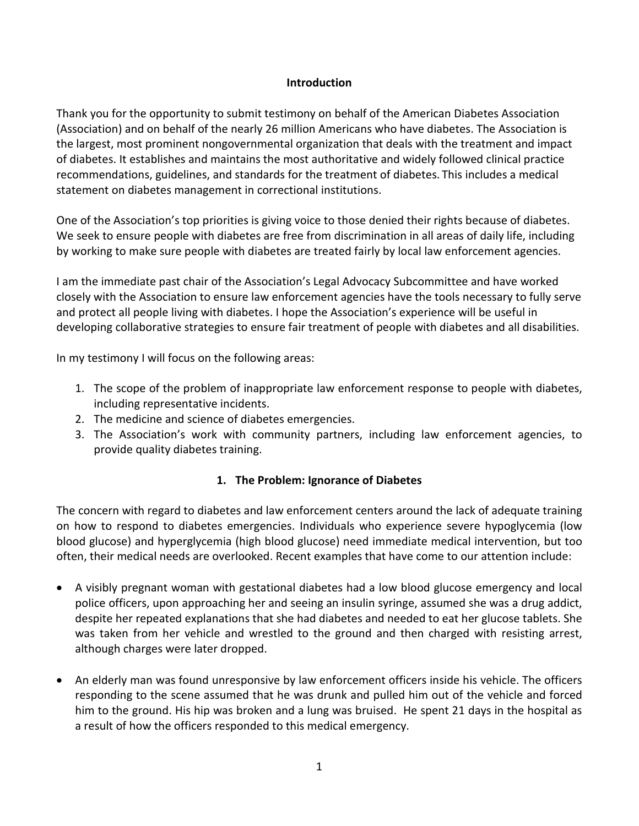### **Introduction**

Thank you for the opportunity to submit testimony on behalf of the American Diabetes Association (Association) and on behalf of the nearly 26 million Americans who have diabetes. The Association is the largest, most prominent nongovernmental organization that deals with the treatment and impact of diabetes. It establishes and maintains the most authoritative and widely followed clinical practice recommendations, guidelines, and standards for the treatment of diabetes. This includes a medical statement on diabetes management in correctional institutions.

One of the Association's top priorities is giving voice to those denied their rights because of diabetes. We seek to ensure people with diabetes are free from discrimination in all areas of daily life, including by working to make sure people with diabetes are treated fairly by local law enforcement agencies.

I am the immediate past chair of the Association's Legal Advocacy Subcommittee and have worked closely with the Association to ensure law enforcement agencies have the tools necessary to fully serve and protect all people living with diabetes. I hope the Association's experience will be useful in developing collaborative strategies to ensure fair treatment of people with diabetes and all disabilities.

In my testimony I will focus on the following areas:

- 1. The scope of the problem of inappropriate law enforcement response to people with diabetes, including representative incidents.
- 2. The medicine and science of diabetes emergencies.
- 3. The Association's work with community partners, including law enforcement agencies, to provide quality diabetes training.

### **1. The Problem: Ignorance of Diabetes**

The concern with regard to diabetes and law enforcement centers around the lack of adequate training on how to respond to diabetes emergencies. Individuals who experience severe hypoglycemia (low blood glucose) and hyperglycemia (high blood glucose) need immediate medical intervention, but too often, their medical needs are overlooked. Recent examples that have come to our attention include:

- A visibly pregnant woman with gestational diabetes had a low blood glucose emergency and local police officers, upon approaching her and seeing an insulin syringe, assumed she was a drug addict, despite her repeated explanations that she had diabetes and needed to eat her glucose tablets. She was taken from her vehicle and wrestled to the ground and then charged with resisting arrest, although charges were later dropped.
- An elderly man was found unresponsive by law enforcement officers inside his vehicle. The officers responding to the scene assumed that he was drunk and pulled him out of the vehicle and forced him to the ground. His hip was broken and a lung was bruised. He spent 21 days in the hospital as a result of how the officers responded to this medical emergency.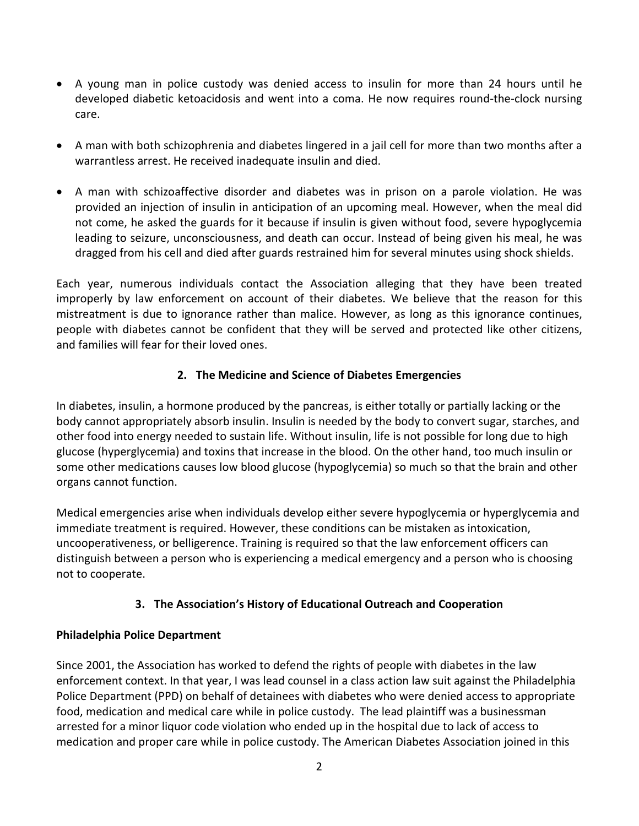- A young man in police custody was denied access to insulin for more than 24 hours until he developed diabetic ketoacidosis and went into a coma. He now requires round-the-clock nursing care.
- A man with both schizophrenia and diabetes lingered in a jail cell for more than two months after a warrantless arrest. He received inadequate insulin and died.
- A man with schizoaffective disorder and diabetes was in prison on a parole violation. He was provided an injection of insulin in anticipation of an upcoming meal. However, when the meal did not come, he asked the guards for it because if insulin is given without food, severe hypoglycemia leading to seizure, unconsciousness, and death can occur. Instead of being given his meal, he was dragged from his cell and died after guards restrained him for several minutes using shock shields.

Each year, numerous individuals contact the Association alleging that they have been treated improperly by law enforcement on account of their diabetes. We believe that the reason for this mistreatment is due to ignorance rather than malice. However, as long as this ignorance continues, people with diabetes cannot be confident that they will be served and protected like other citizens, and families will fear for their loved ones.

## **2. The Medicine and Science of Diabetes Emergencies**

In diabetes, insulin, a hormone produced by the pancreas, is either totally or partially lacking or the body cannot appropriately absorb insulin. Insulin is needed by the body to convert sugar, starches, and other food into energy needed to sustain life. Without insulin, life is not possible for long due to high glucose (hyperglycemia) and toxins that increase in the blood. On the other hand, too much insulin or some other medications causes low blood glucose (hypoglycemia) so much so that the brain and other organs cannot function.

Medical emergencies arise when individuals develop either severe hypoglycemia or hyperglycemia and immediate treatment is required. However, these conditions can be mistaken as intoxication, uncooperativeness, or belligerence. Training is required so that the law enforcement officers can distinguish between a person who is experiencing a medical emergency and a person who is choosing not to cooperate.

# **3. The Association's History of Educational Outreach and Cooperation**

## **Philadelphia Police Department**

Since 2001, the Association has worked to defend the rights of people with diabetes in the law enforcement context. In that year, I was lead counsel in a class action law suit against the Philadelphia Police Department (PPD) on behalf of detainees with diabetes who were denied access to appropriate food, medication and medical care while in police custody. The lead plaintiff was a businessman arrested for a minor liquor code violation who ended up in the hospital due to lack of access to medication and proper care while in police custody. The American Diabetes Association joined in this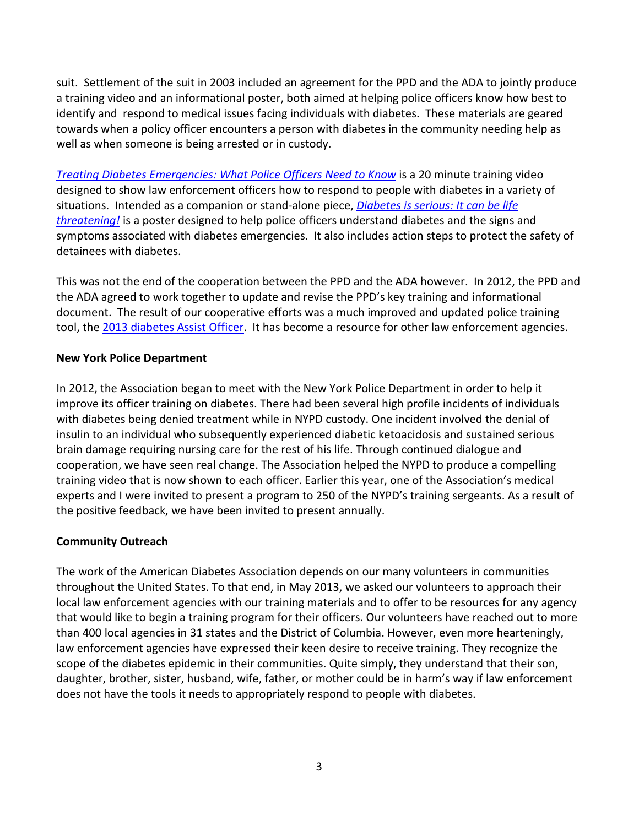suit. Settlement of the suit in 2003 included an agreement for the PPD and the ADA to jointly produce a training video and an informational poster, both aimed at helping police officers know how best to identify and respond to medical issues facing individuals with diabetes. These materials are geared towards when a policy officer encounters a person with diabetes in the community needing help as well as when someone is being arrested or in custody.

*[Treating Diabetes Emergencies: What Police Officers Need to Know](http://www.diabetes.org/corrections)* is a 20 minute training video designed to show law enforcement officers how to respond to people with diabetes in a variety of situations. Intended as a companion or stand-alone piece, *[Diabetes is serious: It can be life](http://main.diabetes.org/dorg/PDFs/Advocacy/Discrimination/lawenforcementposter.pdf)  [threatening!](http://main.diabetes.org/dorg/PDFs/Advocacy/Discrimination/lawenforcementposter.pdf)* is a poster designed to help police officers understand diabetes and the signs and symptoms associated with diabetes emergencies. It also includes action steps to protect the safety of detainees with diabetes.

This was not the end of the cooperation between the PPD and the ADA however. In 2012, the PPD and the ADA agreed to work together to update and revise the PPD's key training and informational document. The result of our cooperative efforts was a much improved and updated police training tool, the [2013 diabetes Assist Officer.](http://main.diabetes.org/dorg/PDFs/Advocacy/Discrimination/assist-officer.pdf) It has become a resource for other law enforcement agencies.

### **New York Police Department**

In 2012, the Association began to meet with the New York Police Department in order to help it improve its officer training on diabetes. There had been several high profile incidents of individuals with diabetes being denied treatment while in NYPD custody. One incident involved the denial of insulin to an individual who subsequently experienced diabetic ketoacidosis and sustained serious brain damage requiring nursing care for the rest of his life. Through continued dialogue and cooperation, we have seen real change. The Association helped the NYPD to produce a compelling training video that is now shown to each officer. Earlier this year, one of the Association's medical experts and I were invited to present a program to 250 of the NYPD's training sergeants. As a result of the positive feedback, we have been invited to present annually.

### **Community Outreach**

The work of the American Diabetes Association depends on our many volunteers in communities throughout the United States. To that end, in May 2013, we asked our volunteers to approach their local law enforcement agencies with our training materials and to offer to be resources for any agency that would like to begin a training program for their officers. Our volunteers have reached out to more than 400 local agencies in 31 states and the District of Columbia. However, even more hearteningly, law enforcement agencies have expressed their keen desire to receive training. They recognize the scope of the diabetes epidemic in their communities. Quite simply, they understand that their son, daughter, brother, sister, husband, wife, father, or mother could be in harm's way if law enforcement does not have the tools it needs to appropriately respond to people with diabetes.